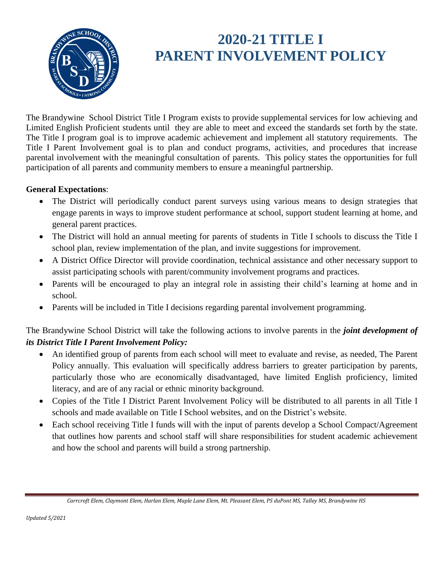

# **2020-21 TITLE I PARENT INVOLVEMENT POLICY**

The Brandywine School District Title I Program exists to provide supplemental services for low achieving and Limited English Proficient students until they are able to meet and exceed the standards set forth by the state. The Title I program goal is to improve academic achievement and implement all statutory requirements. The Title I Parent Involvement goal is to plan and conduct programs, activities, and procedures that increase parental involvement with the meaningful consultation of parents. This policy states the opportunities for full participation of all parents and community members to ensure a meaningful partnership.

#### **General Expectations**:

- The District will periodically conduct parent surveys using various means to design strategies that engage parents in ways to improve student performance at school, support student learning at home, and general parent practices.
- The District will hold an annual meeting for parents of students in Title I schools to discuss the Title I school plan, review implementation of the plan, and invite suggestions for improvement.
- A District Office Director will provide coordination, technical assistance and other necessary support to assist participating schools with parent/community involvement programs and practices.
- Parents will be encouraged to play an integral role in assisting their child's learning at home and in school.
- Parents will be included in Title I decisions regarding parental involvement programming.

The Brandywine School District will take the following actions to involve parents in the *joint development of its District Title I Parent Involvement Policy:*

- An identified group of parents from each school will meet to evaluate and revise, as needed, The Parent Policy annually. This evaluation will specifically address barriers to greater participation by parents, particularly those who are economically disadvantaged, have limited English proficiency, limited literacy, and are of any racial or ethnic minority background.
- Copies of the Title I District Parent Involvement Policy will be distributed to all parents in all Title I schools and made available on Title I School websites, and on the District's website.
- Each school receiving Title I funds will with the input of parents develop a School Compact/Agreement that outlines how parents and school staff will share responsibilities for student academic achievement and how the school and parents will build a strong partnership.